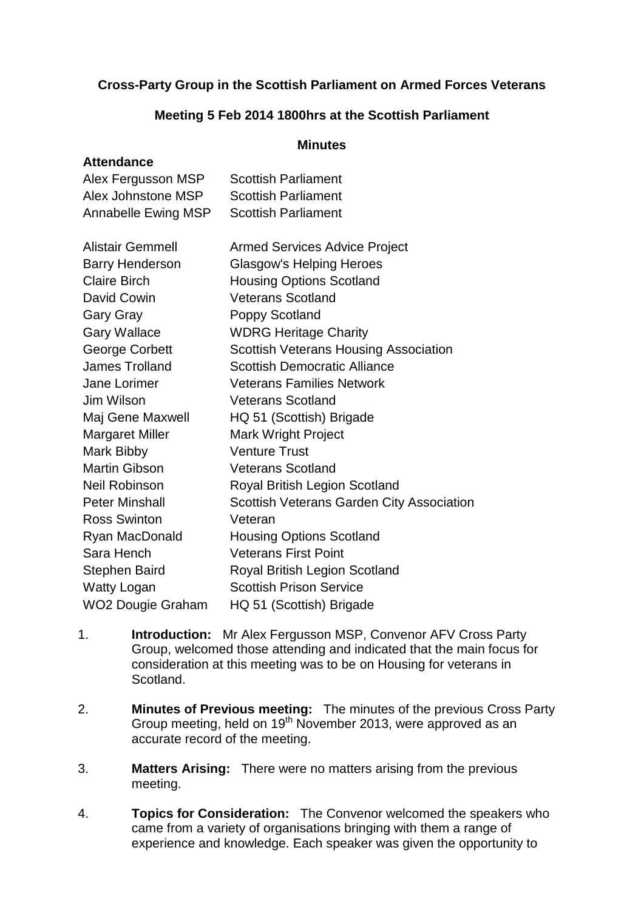## **Cross-Party Group in the Scottish Parliament on Armed Forces Veterans**

## **Meeting 5 Feb 2014 1800hrs at the Scottish Parliament**

## **Minutes**

## **Attendance**

| Alex Fergusson MSP       | <b>Scottish Parliament</b>                       |
|--------------------------|--------------------------------------------------|
| Alex Johnstone MSP       | <b>Scottish Parliament</b>                       |
| Annabelle Ewing MSP      | <b>Scottish Parliament</b>                       |
| Alistair Gemmell         | <b>Armed Services Advice Project</b>             |
| <b>Barry Henderson</b>   | <b>Glasgow's Helping Heroes</b>                  |
| <b>Claire Birch</b>      | <b>Housing Options Scotland</b>                  |
| David Cowin              | <b>Veterans Scotland</b>                         |
| Gary Gray                | Poppy Scotland                                   |
| <b>Gary Wallace</b>      | <b>WDRG Heritage Charity</b>                     |
| George Corbett           | <b>Scottish Veterans Housing Association</b>     |
| <b>James Trolland</b>    | <b>Scottish Democratic Alliance</b>              |
| Jane Lorimer             | <b>Veterans Families Network</b>                 |
| Jim Wilson               | <b>Veterans Scotland</b>                         |
| Maj Gene Maxwell         | HQ 51 (Scottish) Brigade                         |
| Margaret Miller          | <b>Mark Wright Project</b>                       |
| Mark Bibby               | <b>Venture Trust</b>                             |
| <b>Martin Gibson</b>     | <b>Veterans Scotland</b>                         |
| Neil Robinson            | Royal British Legion Scotland                    |
| <b>Peter Minshall</b>    | <b>Scottish Veterans Garden City Association</b> |
| <b>Ross Swinton</b>      | Veteran                                          |
| Ryan MacDonald           | <b>Housing Options Scotland</b>                  |
| Sara Hench               | <b>Veterans First Point</b>                      |
| Stephen Baird            | Royal British Legion Scotland                    |
| Watty Logan              | <b>Scottish Prison Service</b>                   |
| <b>WO2 Dougie Graham</b> | HQ 51 (Scottish) Brigade                         |
|                          |                                                  |

- 1. **Introduction:** Mr Alex Fergusson MSP, Convenor AFV Cross Party Group, welcomed those attending and indicated that the main focus for consideration at this meeting was to be on Housing for veterans in Scotland.
- 2. **Minutes of Previous meeting:** The minutes of the previous Cross Party Group meeting, held on 19<sup>th</sup> November 2013, were approved as an accurate record of the meeting.
- 3. **Matters Arising:** There were no matters arising from the previous meeting.
- 4. **Topics for Consideration:** The Convenor welcomed the speakers who came from a variety of organisations bringing with them a range of experience and knowledge. Each speaker was given the opportunity to